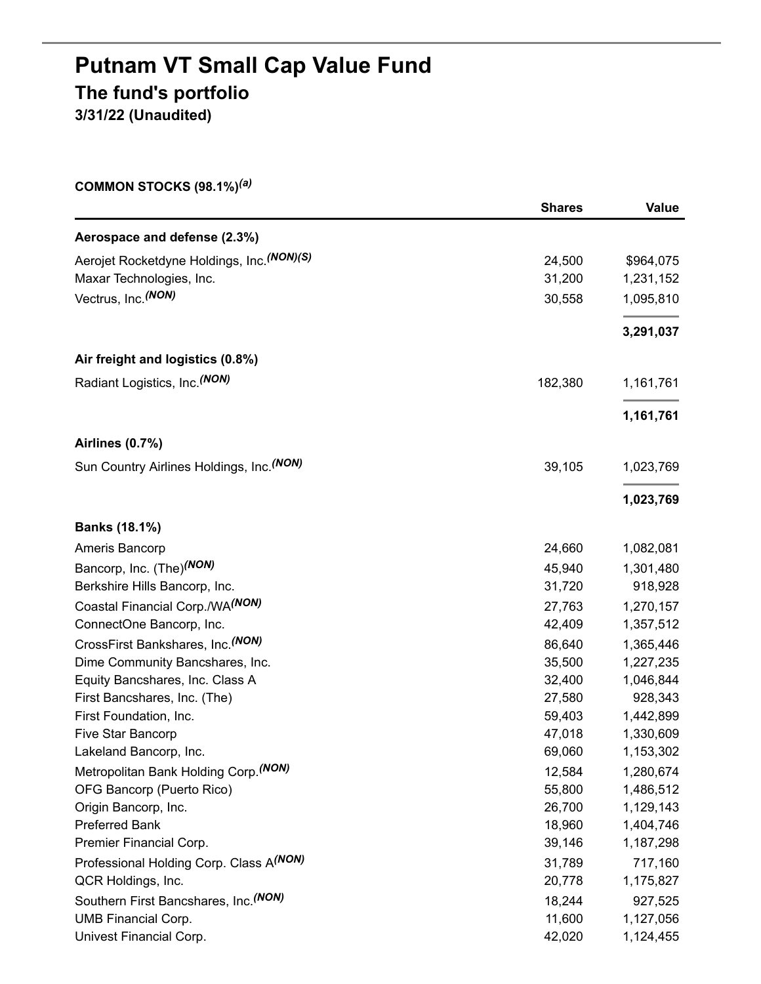# **Putnam VT Small Cap Value Fund The fund's portfolio 3/31/22 (Unaudited)**

**COMMON STOCKS (98.1%)** *(a)*

|                                            | <b>Shares</b> | Value     |
|--------------------------------------------|---------------|-----------|
| Aerospace and defense (2.3%)               |               |           |
| Aerojet Rocketdyne Holdings, Inc. (NON)(S) | 24,500        | \$964,075 |
| Maxar Technologies, Inc.                   | 31,200        | 1,231,152 |
| Vectrus, Inc. (NON)                        | 30,558        | 1,095,810 |
|                                            |               | 3,291,037 |
| Air freight and logistics (0.8%)           |               |           |
| Radiant Logistics, Inc. <sup>(NON)</sup>   | 182,380       | 1,161,761 |
|                                            |               | 1,161,761 |
| Airlines (0.7%)                            |               |           |
| Sun Country Airlines Holdings, Inc. (NON)  | 39,105        | 1,023,769 |
|                                            |               | 1,023,769 |
| Banks (18.1%)                              |               |           |
| Ameris Bancorp                             | 24,660        | 1,082,081 |
| Bancorp, Inc. (The) <sup>(NON)</sup>       | 45,940        | 1,301,480 |
| Berkshire Hills Bancorp, Inc.              | 31,720        | 918,928   |
| Coastal Financial Corp./WA(NON)            | 27,763        | 1,270,157 |
| ConnectOne Bancorp, Inc.                   | 42,409        | 1,357,512 |
| CrossFirst Bankshares, Inc. (NON)          | 86,640        | 1,365,446 |
| Dime Community Bancshares, Inc.            | 35,500        | 1,227,235 |
| Equity Bancshares, Inc. Class A            | 32,400        | 1,046,844 |
| First Bancshares, Inc. (The)               | 27,580        | 928,343   |
| First Foundation, Inc.                     | 59,403        | 1,442,899 |
| Five Star Bancorp                          | 47,018        | 1,330,609 |
| Lakeland Bancorp, Inc.                     | 69,060        | 1,153,302 |
| Metropolitan Bank Holding Corp. (NON)      | 12,584        | 1,280,674 |
| OFG Bancorp (Puerto Rico)                  | 55,800        | 1,486,512 |
| Origin Bancorp, Inc.                       | 26,700        | 1,129,143 |
| <b>Preferred Bank</b>                      | 18,960        | 1,404,746 |
| Premier Financial Corp.                    | 39,146        | 1,187,298 |
| Professional Holding Corp. Class A(NON)    | 31,789        | 717,160   |
| QCR Holdings, Inc.                         | 20,778        | 1,175,827 |
| Southern First Bancshares, Inc. (NON)      | 18,244        | 927,525   |
| <b>UMB Financial Corp.</b>                 | 11,600        | 1,127,056 |
| Univest Financial Corp.                    | 42,020        | 1,124,455 |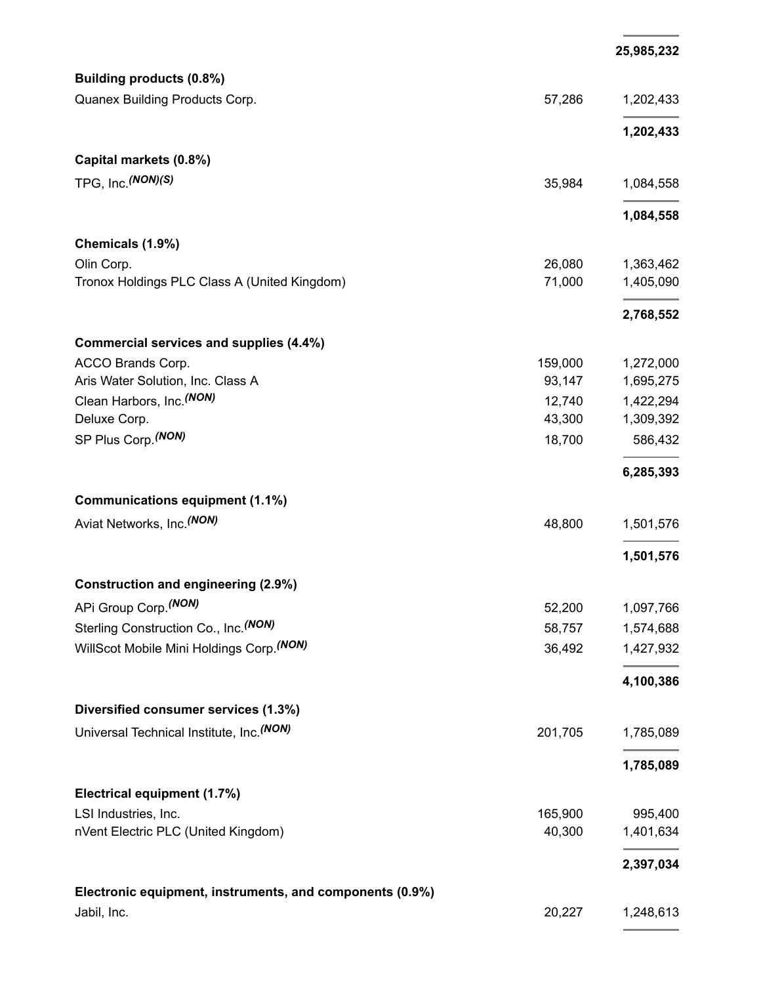|                                                          |         | 25,985,232 |
|----------------------------------------------------------|---------|------------|
| Building products (0.8%)                                 |         |            |
| Quanex Building Products Corp.                           | 57,286  | 1,202,433  |
|                                                          |         | 1,202,433  |
| Capital markets (0.8%)                                   |         |            |
| TPG, Inc. (NON)(S)                                       | 35,984  | 1,084,558  |
|                                                          |         | 1,084,558  |
| Chemicals (1.9%)                                         |         |            |
| Olin Corp.                                               | 26,080  | 1,363,462  |
| Tronox Holdings PLC Class A (United Kingdom)             | 71,000  | 1,405,090  |
|                                                          |         | 2,768,552  |
| Commercial services and supplies (4.4%)                  |         |            |
| ACCO Brands Corp.                                        | 159,000 | 1,272,000  |
| Aris Water Solution, Inc. Class A                        | 93,147  | 1,695,275  |
| Clean Harbors, Inc. <sup>(NON)</sup>                     | 12,740  | 1,422,294  |
| Deluxe Corp.                                             | 43,300  | 1,309,392  |
| SP Plus Corp. (NON)                                      | 18,700  | 586,432    |
|                                                          |         | 6,285,393  |
| <b>Communications equipment (1.1%)</b>                   |         |            |
| Aviat Networks, Inc. <sup>(NON)</sup>                    | 48,800  | 1,501,576  |
|                                                          |         | 1,501,576  |
| <b>Construction and engineering (2.9%)</b>               |         |            |
| APi Group Corp. (NON)                                    | 52,200  | 1,097,766  |
| Sterling Construction Co., Inc. (NON)                    | 58,757  | 1,574,688  |
| WillScot Mobile Mini Holdings Corp. (NON)                | 36,492  | 1,427,932  |
|                                                          |         | 4,100,386  |
| Diversified consumer services (1.3%)                     |         |            |
| Universal Technical Institute, Inc. (NON)                | 201,705 | 1,785,089  |
|                                                          |         | 1,785,089  |
| Electrical equipment (1.7%)                              |         |            |
| LSI Industries, Inc.                                     | 165,900 | 995,400    |
| nVent Electric PLC (United Kingdom)                      | 40,300  | 1,401,634  |
|                                                          |         | 2,397,034  |
| Electronic equipment, instruments, and components (0.9%) |         |            |
| Jabil, Inc.                                              | 20,227  | 1,248,613  |
|                                                          |         |            |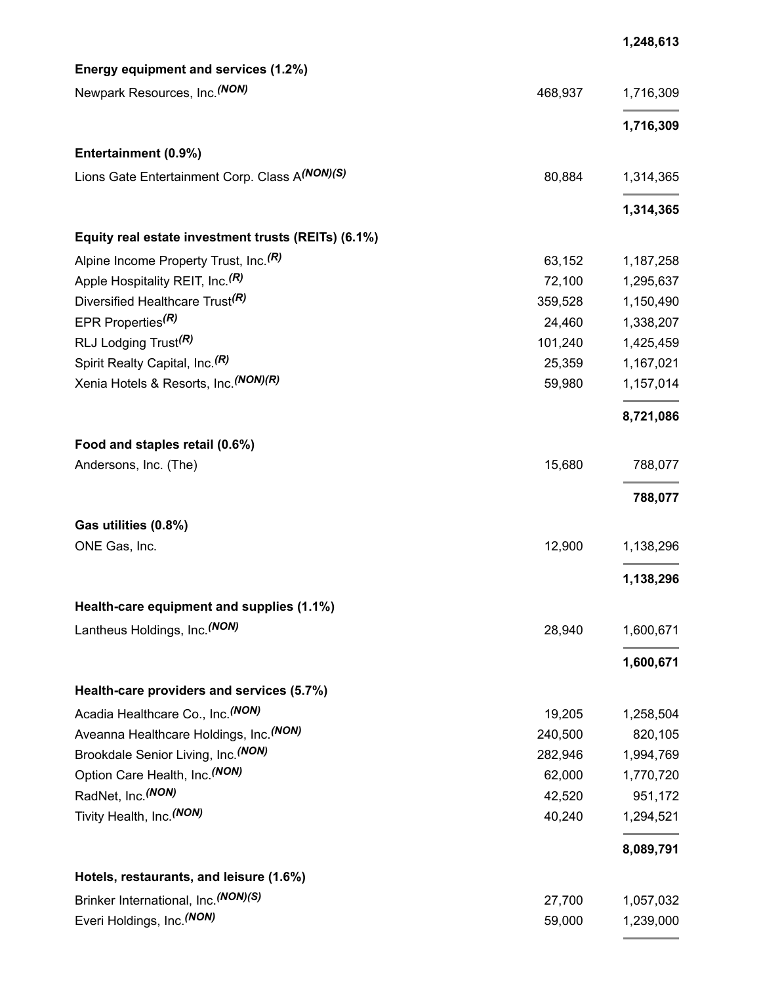| Energy equipment and services (1.2%)                |         |           |
|-----------------------------------------------------|---------|-----------|
| Newpark Resources, Inc. (NON)                       | 468,937 | 1,716,309 |
|                                                     |         | 1,716,309 |
| Entertainment (0.9%)                                |         |           |
| Lions Gate Entertainment Corp. Class A(NON)(S)      | 80,884  | 1,314,365 |
|                                                     |         | 1,314,365 |
| Equity real estate investment trusts (REITs) (6.1%) |         |           |
| Alpine Income Property Trust, Inc. <sup>(R)</sup>   | 63,152  | 1,187,258 |
| Apple Hospitality REIT, Inc. <sup>(R)</sup>         | 72,100  | 1,295,637 |
| Diversified Healthcare Trust <sup>(R)</sup>         | 359,528 | 1,150,490 |
| EPR Properties <sup>(R)</sup>                       | 24,460  | 1,338,207 |
| RLJ Lodging Trust <sup>(R)</sup>                    | 101,240 | 1,425,459 |
| Spirit Realty Capital, Inc. <sup>(R)</sup>          | 25,359  | 1,167,021 |
| Xenia Hotels & Resorts, Inc. (NON) (R)              | 59,980  | 1,157,014 |
|                                                     |         | 8,721,086 |
| Food and staples retail (0.6%)                      |         |           |
| Andersons, Inc. (The)                               | 15,680  | 788,077   |
|                                                     |         | 788,077   |
| Gas utilities (0.8%)                                |         |           |
| ONE Gas, Inc.                                       | 12,900  | 1,138,296 |
|                                                     |         | 1,138,296 |
| Health-care equipment and supplies (1.1%)           |         |           |
| Lantheus Holdings, Inc. (NON)                       | 28,940  | 1,600,671 |
|                                                     |         | 1,600,671 |
| Health-care providers and services (5.7%)           |         |           |
| Acadia Healthcare Co., Inc. (NON)                   | 19,205  | 1,258,504 |
| Aveanna Healthcare Holdings, Inc. (NON)             | 240,500 | 820,105   |
| Brookdale Senior Living, Inc. (NON)                 | 282,946 | 1,994,769 |
| Option Care Health, Inc. (NON)                      | 62,000  | 1,770,720 |
| RadNet, Inc. (NON)                                  | 42,520  | 951,172   |
| Tivity Health, Inc. <sup>(NON)</sup>                | 40,240  | 1,294,521 |
|                                                     |         | 8,089,791 |
| Hotels, restaurants, and leisure (1.6%)             |         |           |
| Brinker International, Inc. (NON)(S)                | 27,700  | 1,057,032 |
| Everi Holdings, Inc. (NON)                          | 59,000  | 1,239,000 |

**1,248,613**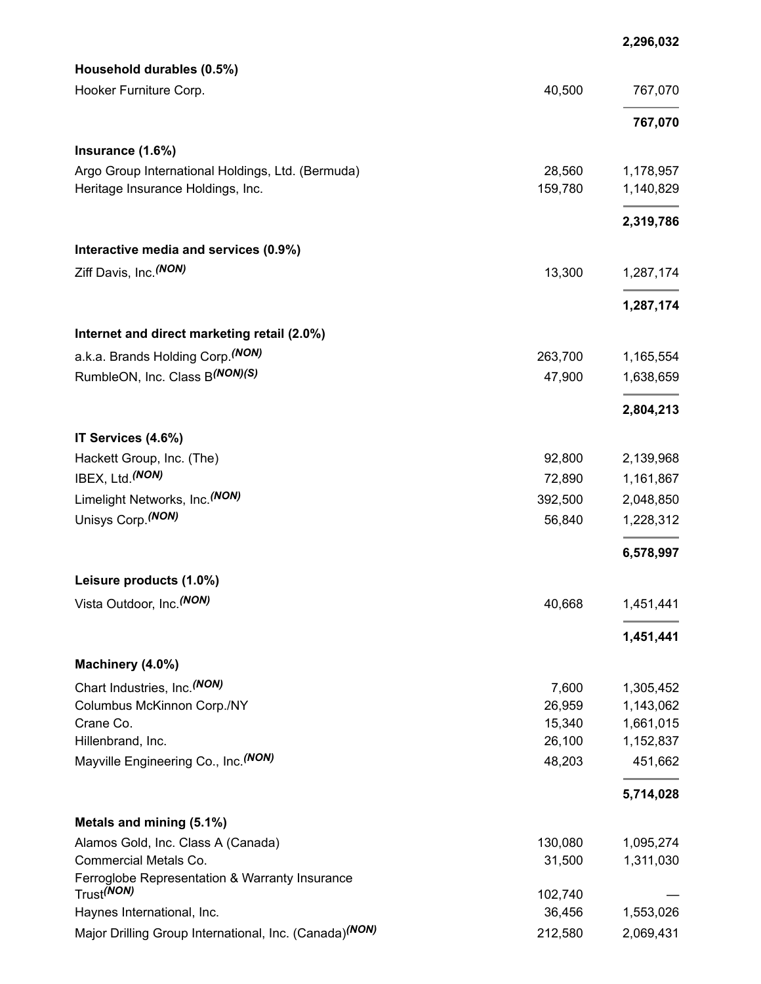|                                                                    |         | 2,296,032 |
|--------------------------------------------------------------------|---------|-----------|
| Household durables (0.5%)                                          |         |           |
| Hooker Furniture Corp.                                             | 40,500  | 767,070   |
|                                                                    |         | 767,070   |
| Insurance (1.6%)                                                   |         |           |
| Argo Group International Holdings, Ltd. (Bermuda)                  | 28,560  | 1,178,957 |
| Heritage Insurance Holdings, Inc.                                  | 159,780 | 1,140,829 |
|                                                                    |         | 2,319,786 |
| Interactive media and services (0.9%)                              |         |           |
| Ziff Davis, Inc. (NON)                                             | 13,300  | 1,287,174 |
|                                                                    |         | 1,287,174 |
| Internet and direct marketing retail (2.0%)                        |         |           |
| a.k.a. Brands Holding Corp. (NON)                                  | 263,700 | 1,165,554 |
| RumbleON, Inc. Class B(NON)(S)                                     | 47,900  | 1,638,659 |
|                                                                    |         | 2,804,213 |
| IT Services (4.6%)                                                 |         |           |
| Hackett Group, Inc. (The)                                          | 92,800  | 2,139,968 |
| IBEX, Ltd. (NON)                                                   | 72,890  | 1,161,867 |
| Limelight Networks, Inc. <sup>(NON)</sup>                          | 392,500 | 2,048,850 |
| Unisys Corp. (NON)                                                 | 56,840  | 1,228,312 |
|                                                                    |         | 6,578,997 |
| Leisure products (1.0%)                                            |         |           |
| Vista Outdoor, Inc. (NON)                                          | 40,668  | 1,451,441 |
|                                                                    |         | 1,451,441 |
| Machinery (4.0%)                                                   |         |           |
| Chart Industries, Inc. <sup>(NON)</sup>                            | 7,600   | 1,305,452 |
| Columbus McKinnon Corp./NY                                         | 26,959  | 1,143,062 |
| Crane Co.                                                          | 15,340  | 1,661,015 |
| Hillenbrand, Inc.                                                  | 26,100  | 1,152,837 |
| Mayville Engineering Co., Inc. (NON)                               | 48,203  | 451,662   |
|                                                                    |         | 5,714,028 |
| Metals and mining (5.1%)                                           |         |           |
| Alamos Gold, Inc. Class A (Canada)                                 | 130,080 | 1,095,274 |
| Commercial Metals Co.                                              | 31,500  | 1,311,030 |
| Ferroglobe Representation & Warranty Insurance                     |         |           |
| Trust <sup>(NON)</sup>                                             | 102,740 |           |
| Haynes International, Inc.                                         | 36,456  | 1,553,026 |
| Major Drilling Group International, Inc. (Canada) <sup>(NON)</sup> | 212,580 | 2,069,431 |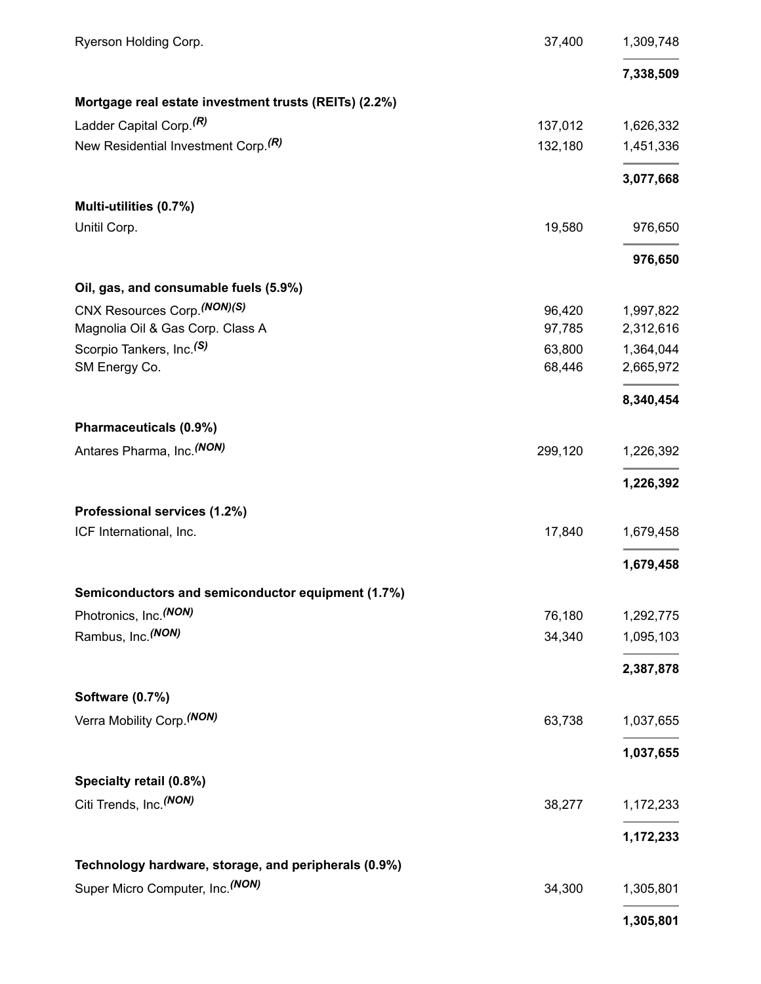| Ryerson Holding Corp.                                 | 37,400  | 1,309,748 |
|-------------------------------------------------------|---------|-----------|
|                                                       |         | 7,338,509 |
| Mortgage real estate investment trusts (REITs) (2.2%) |         |           |
| Ladder Capital Corp. <sup>(R)</sup>                   | 137,012 | 1,626,332 |
| New Residential Investment Corp. <sup>(R)</sup>       | 132,180 | 1,451,336 |
|                                                       |         | 3,077,668 |
| Multi-utilities (0.7%)                                |         |           |
| Unitil Corp.                                          | 19,580  | 976,650   |
|                                                       |         | 976,650   |
| Oil, gas, and consumable fuels (5.9%)                 |         |           |
| CNX Resources Corp. (NON) (S)                         | 96,420  | 1,997,822 |
| Magnolia Oil & Gas Corp. Class A                      | 97,785  | 2,312,616 |
| Scorpio Tankers, Inc. <sup>(S)</sup>                  | 63,800  | 1,364,044 |
| SM Energy Co.                                         | 68,446  | 2,665,972 |
|                                                       |         | 8,340,454 |
| Pharmaceuticals (0.9%)                                |         |           |
| Antares Pharma, Inc. (NON)                            | 299,120 | 1,226,392 |
|                                                       |         | 1,226,392 |
| Professional services (1.2%)                          |         |           |
| ICF International, Inc.                               | 17,840  | 1,679,458 |
|                                                       |         | 1,679,458 |
| Semiconductors and semiconductor equipment (1.7%)     |         |           |
| Photronics, Inc. <sup>(NON)</sup>                     | 76,180  | 1,292,775 |
| Rambus, Inc. <sup>(NON)</sup>                         | 34,340  | 1,095,103 |
|                                                       |         | 2,387,878 |
| Software (0.7%)                                       |         |           |
| Verra Mobility Corp. (NON)                            | 63,738  | 1,037,655 |
|                                                       |         | 1,037,655 |
| Specialty retail (0.8%)                               |         |           |
| Citi Trends, Inc. <sup>(NON)</sup>                    | 38,277  | 1,172,233 |
|                                                       |         | 1,172,233 |
| Technology hardware, storage, and peripherals (0.9%)  |         |           |
| Super Micro Computer, Inc. (NON)                      | 34,300  | 1,305,801 |
|                                                       |         | 1,305,801 |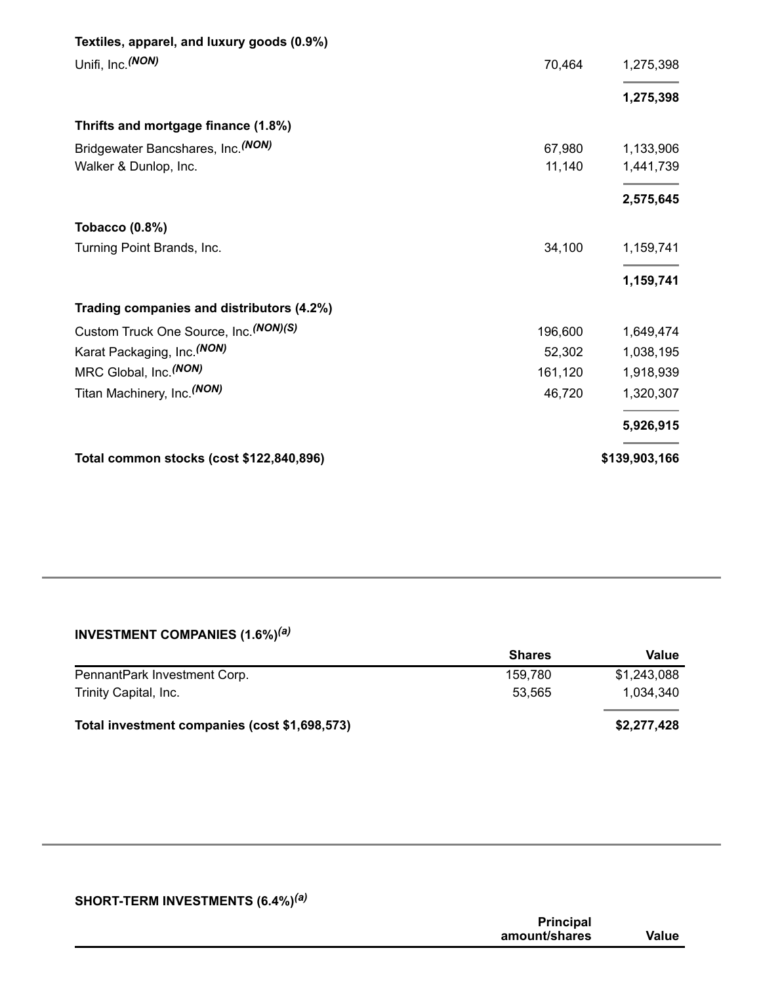| Total common stocks (cost \$122,840,896)                                  |         | \$139,903,166 |
|---------------------------------------------------------------------------|---------|---------------|
|                                                                           |         | 5,926,915     |
| Titan Machinery, Inc. (NON)                                               | 46,720  | 1,320,307     |
| MRC Global, Inc. <sup>(NON)</sup>                                         | 161,120 | 1,918,939     |
| Karat Packaging, Inc. (NON)                                               | 52,302  | 1,038,195     |
| Custom Truck One Source, Inc. (NON)(S)                                    | 196,600 | 1,649,474     |
| Trading companies and distributors (4.2%)                                 |         | 1,159,741     |
| Turning Point Brands, Inc.                                                | 34,100  | 1,159,741     |
| <b>Tobacco (0.8%)</b>                                                     |         |               |
|                                                                           |         | 2,575,645     |
| Walker & Dunlop, Inc.                                                     | 11,140  | 1,441,739     |
| Thrifts and mortgage finance (1.8%)<br>Bridgewater Bancshares, Inc. (NON) | 67,980  | 1,133,906     |
|                                                                           |         | 1,275,398     |
| Unifi, Inc. (NON)                                                         | 70,464  | 1,275,398     |
| Textiles, apparel, and luxury goods (0.9%)                                |         |               |

#### **INVESTMENT COMPANIES (1.6%)** *(a)*

|                                               | <b>Shares</b> | Value       |
|-----------------------------------------------|---------------|-------------|
| PennantPark Investment Corp.                  | 159,780       | \$1,243,088 |
| Trinity Capital, Inc.                         | 53.565        | 1.034.340   |
|                                               |               |             |
| Total investment companies (cost \$1,698,573) |               | \$2,277,428 |

#### **SHORT-TERM INVESTMENTS (6.4%)** *(a)*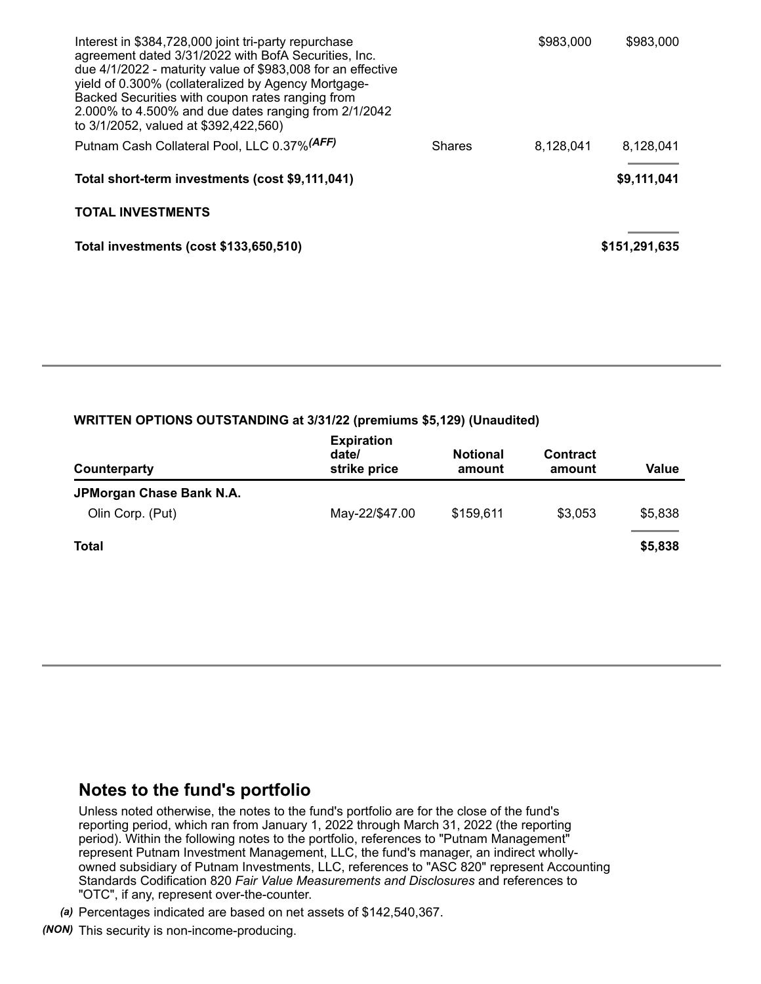| Interest in \$384,728,000 joint tri-party repurchase<br>agreement dated 3/31/2022 with BofA Securities, Inc.<br>due 4/1/2022 - maturity value of \$983,008 for an effective<br>yield of 0.300% (collateralized by Agency Mortgage-<br>Backed Securities with coupon rates ranging from<br>2.000% to 4.500% and due dates ranging from 2/1/2042<br>to 3/1/2052, valued at \$392,422,560) |               | \$983,000 | \$983,000     |
|-----------------------------------------------------------------------------------------------------------------------------------------------------------------------------------------------------------------------------------------------------------------------------------------------------------------------------------------------------------------------------------------|---------------|-----------|---------------|
| Putnam Cash Collateral Pool, LLC 0.37% (AFF)                                                                                                                                                                                                                                                                                                                                            | <b>Shares</b> | 8,128,041 | 8,128,041     |
| Total short-term investments (cost \$9,111,041)                                                                                                                                                                                                                                                                                                                                         |               |           | \$9,111,041   |
| <b>TOTAL INVESTMENTS</b>                                                                                                                                                                                                                                                                                                                                                                |               |           |               |
| Total investments (cost \$133,650,510)                                                                                                                                                                                                                                                                                                                                                  |               |           | \$151,291,635 |

#### **WRITTEN OPTIONS OUTSTANDING at 3/31/22 (premiums \$5,129) (Unaudited)**

| Counterparty             | <b>Expiration</b><br>date/<br>strike price | <b>Notional</b><br>amount | <b>Contract</b><br>amount | Value   |
|--------------------------|--------------------------------------------|---------------------------|---------------------------|---------|
| JPMorgan Chase Bank N.A. |                                            |                           |                           |         |
| Olin Corp. (Put)         | May-22/\$47.00                             | \$159,611                 | \$3,053                   | \$5,838 |
| Total                    |                                            |                           |                           | \$5,838 |

### **Notes to the fund's portfolio**

Unless noted otherwise, the notes to the fund's portfolio are for the close of the fund's reporting period, which ran from January 1, 2022 through March 31, 2022 (the reporting period). Within the following notes to the portfolio, references to "Putnam Management" represent Putnam Investment Management, LLC, the fund's manager, an indirect whollyowned subsidiary of Putnam Investments, LLC, references to "ASC 820" represent Accounting Standards Codification 820 *Fair Value Measurements and Disclosures* and references to "OTC", if any, represent over-the-counter.

*(a)* Percentages indicated are based on net assets of \$142,540,367.

*(NON)* This security is non-income-producing.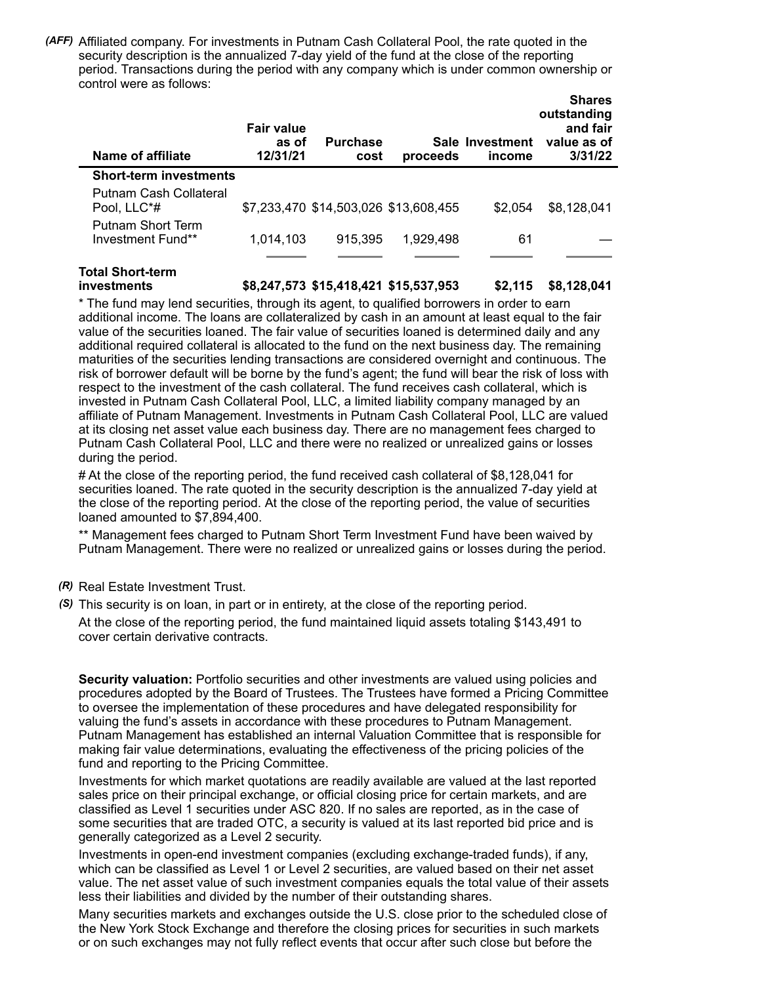*(AFF)* Affiliated company. For investments in Putnam Cash Collateral Pool, the rate quoted in the security description is the annualized 7-day yield of the fund at the close of the reporting period. Transactions during the period with any company which is under common ownership or control were as follows:

| Name of affiliate                      | <b>Fair value</b><br>as of<br>12/31/21 | <b>Purchase</b><br>cost               | proceeds  | Sale Investment<br>income | <b>Shares</b><br>outstanding<br>and fair<br>value as of<br>3/31/22 |
|----------------------------------------|----------------------------------------|---------------------------------------|-----------|---------------------------|--------------------------------------------------------------------|
| <b>Short-term investments</b>          |                                        |                                       |           |                           |                                                                    |
| Putnam Cash Collateral<br>Pool. LLC*#  |                                        | \$7,233,470 \$14,503,026 \$13,608,455 |           | \$2,054                   | \$8,128,041                                                        |
| Putnam Short Term<br>Investment Fund** | 1,014,103                              | 915,395                               | 1,929,498 | 61                        |                                                                    |
| Tatal Chart tarms                      |                                        |                                       |           |                           |                                                                    |

## **Total Short-term**

**investments \$8,247,573 \$15,418,421 \$15,537,953 \$2,115 \$8,128,041**

\* The fund may lend securities, through its agent, to qualified borrowers in order to earn additional income. The loans are collateralized by cash in an amount at least equal to the fair value of the securities loaned. The fair value of securities loaned is determined daily and any additional required collateral is allocated to the fund on the next business day. The remaining maturities of the securities lending transactions are considered overnight and continuous. The risk of borrower default will be borne by the fund's agent; the fund will bear the risk of loss with respect to the investment of the cash collateral. The fund receives cash collateral, which is invested in Putnam Cash Collateral Pool, LLC, a limited liability company managed by an affiliate of Putnam Management. Investments in Putnam Cash Collateral Pool, LLC are valued at its closing net asset value each business day. There are no management fees charged to Putnam Cash Collateral Pool, LLC and there were no realized or unrealized gains or losses during the period.

# At the close of the reporting period, the fund received cash collateral of \$8,128,041 for securities loaned. The rate quoted in the security description is the annualized 7-day yield at the close of the reporting period. At the close of the reporting period, the value of securities loaned amounted to \$7,894,400.

\*\* Management fees charged to Putnam Short Term Investment Fund have been waived by Putnam Management. There were no realized or unrealized gains or losses during the period.

- *(R)* Real Estate Investment Trust.
- *(S)* This security is on loan, in part or in entirety, at the close of the reporting period. At the close of the reporting period, the fund maintained liquid assets totaling \$143,491 to cover certain derivative contracts.

**Security valuation:** Portfolio securities and other investments are valued using policies and procedures adopted by the Board of Trustees. The Trustees have formed a Pricing Committee to oversee the implementation of these procedures and have delegated responsibility for valuing the fund's assets in accordance with these procedures to Putnam Management. Putnam Management has established an internal Valuation Committee that is responsible for making fair value determinations, evaluating the effectiveness of the pricing policies of the fund and reporting to the Pricing Committee.

Investments for which market quotations are readily available are valued at the last reported sales price on their principal exchange, or official closing price for certain markets, and are classified as Level 1 securities under ASC 820. If no sales are reported, as in the case of some securities that are traded OTC, a security is valued at its last reported bid price and is generally categorized as a Level 2 security.

Investments in open-end investment companies (excluding exchange-traded funds), if any, which can be classified as Level 1 or Level 2 securities, are valued based on their net asset value. The net asset value of such investment companies equals the total value of their assets less their liabilities and divided by the number of their outstanding shares.

Many securities markets and exchanges outside the U.S. close prior to the scheduled close of the New York Stock Exchange and therefore the closing prices for securities in such markets or on such exchanges may not fully reflect events that occur after such close but before the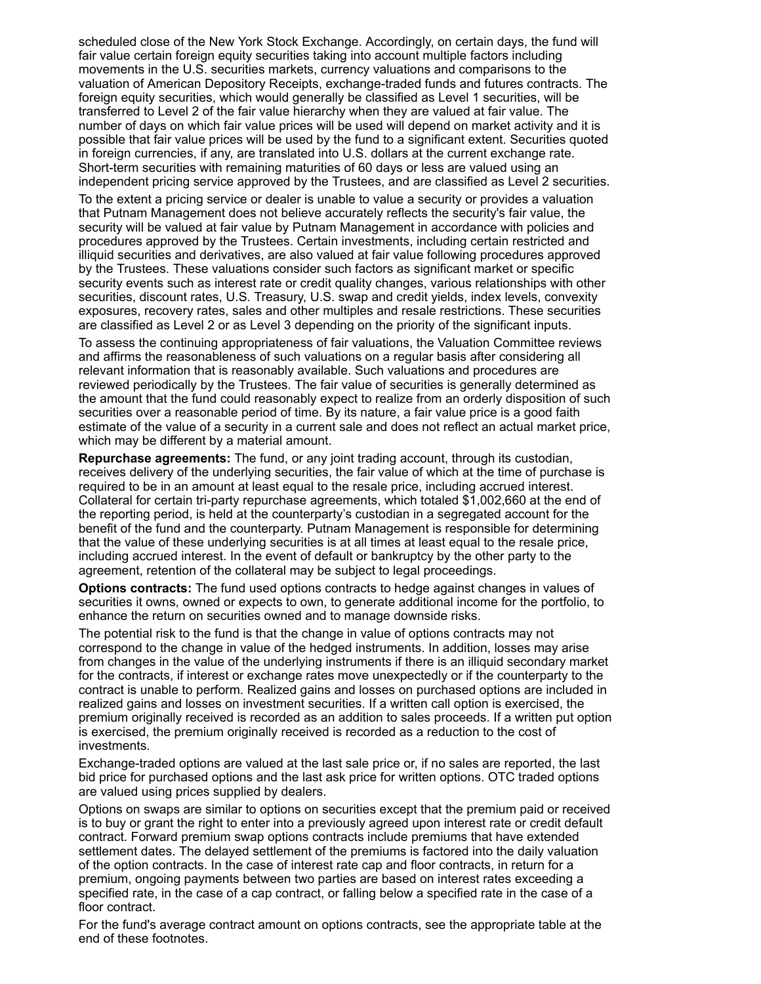scheduled close of the New York Stock Exchange. Accordingly, on certain days, the fund will fair value certain foreign equity securities taking into account multiple factors including movements in the U.S. securities markets, currency valuations and comparisons to the valuation of American Depository Receipts, exchange-traded funds and futures contracts. The foreign equity securities, which would generally be classified as Level 1 securities, will be transferred to Level 2 of the fair value hierarchy when they are valued at fair value. The number of days on which fair value prices will be used will depend on market activity and it is possible that fair value prices will be used by the fund to a significant extent. Securities quoted in foreign currencies, if any, are translated into U.S. dollars at the current exchange rate. Short-term securities with remaining maturities of 60 days or less are valued using an independent pricing service approved by the Trustees, and are classified as Level 2 securities.

To the extent a pricing service or dealer is unable to value a security or provides a valuation that Putnam Management does not believe accurately reflects the security's fair value, the security will be valued at fair value by Putnam Management in accordance with policies and procedures approved by the Trustees. Certain investments, including certain restricted and illiquid securities and derivatives, are also valued at fair value following procedures approved by the Trustees. These valuations consider such factors as significant market or specific security events such as interest rate or credit quality changes, various relationships with other securities, discount rates, U.S. Treasury, U.S. swap and credit yields, index levels, convexity exposures, recovery rates, sales and other multiples and resale restrictions. These securities are classified as Level 2 or as Level 3 depending on the priority of the significant inputs.

To assess the continuing appropriateness of fair valuations, the Valuation Committee reviews and affirms the reasonableness of such valuations on a regular basis after considering all relevant information that is reasonably available. Such valuations and procedures are reviewed periodically by the Trustees. The fair value of securities is generally determined as the amount that the fund could reasonably expect to realize from an orderly disposition of such securities over a reasonable period of time. By its nature, a fair value price is a good faith estimate of the value of a security in a current sale and does not reflect an actual market price, which may be different by a material amount.

**Repurchase agreements:** The fund, or any joint trading account, through its custodian, receives delivery of the underlying securities, the fair value of which at the time of purchase is required to be in an amount at least equal to the resale price, including accrued interest. Collateral for certain tri-party repurchase agreements, which totaled \$1,002,660 at the end of the reporting period, is held at the counterparty's custodian in a segregated account for the benefit of the fund and the counterparty. Putnam Management is responsible for determining that the value of these underlying securities is at all times at least equal to the resale price, including accrued interest. In the event of default or bankruptcy by the other party to the agreement, retention of the collateral may be subject to legal proceedings.

**Options contracts:** The fund used options contracts to hedge against changes in values of securities it owns, owned or expects to own, to generate additional income for the portfolio, to enhance the return on securities owned and to manage downside risks.

The potential risk to the fund is that the change in value of options contracts may not correspond to the change in value of the hedged instruments. In addition, losses may arise from changes in the value of the underlying instruments if there is an illiquid secondary market for the contracts, if interest or exchange rates move unexpectedly or if the counterparty to the contract is unable to perform. Realized gains and losses on purchased options are included in realized gains and losses on investment securities. If a written call option is exercised, the premium originally received is recorded as an addition to sales proceeds. If a written put option is exercised, the premium originally received is recorded as a reduction to the cost of investments.

Exchange-traded options are valued at the last sale price or, if no sales are reported, the last bid price for purchased options and the last ask price for written options. OTC traded options are valued using prices supplied by dealers.

Options on swaps are similar to options on securities except that the premium paid or received is to buy or grant the right to enter into a previously agreed upon interest rate or credit default contract. Forward premium swap options contracts include premiums that have extended settlement dates. The delayed settlement of the premiums is factored into the daily valuation of the option contracts. In the case of interest rate cap and floor contracts, in return for a premium, ongoing payments between two parties are based on interest rates exceeding a specified rate, in the case of a cap contract, or falling below a specified rate in the case of a floor contract.

For the fund's average contract amount on options contracts, see the appropriate table at the end of these footnotes.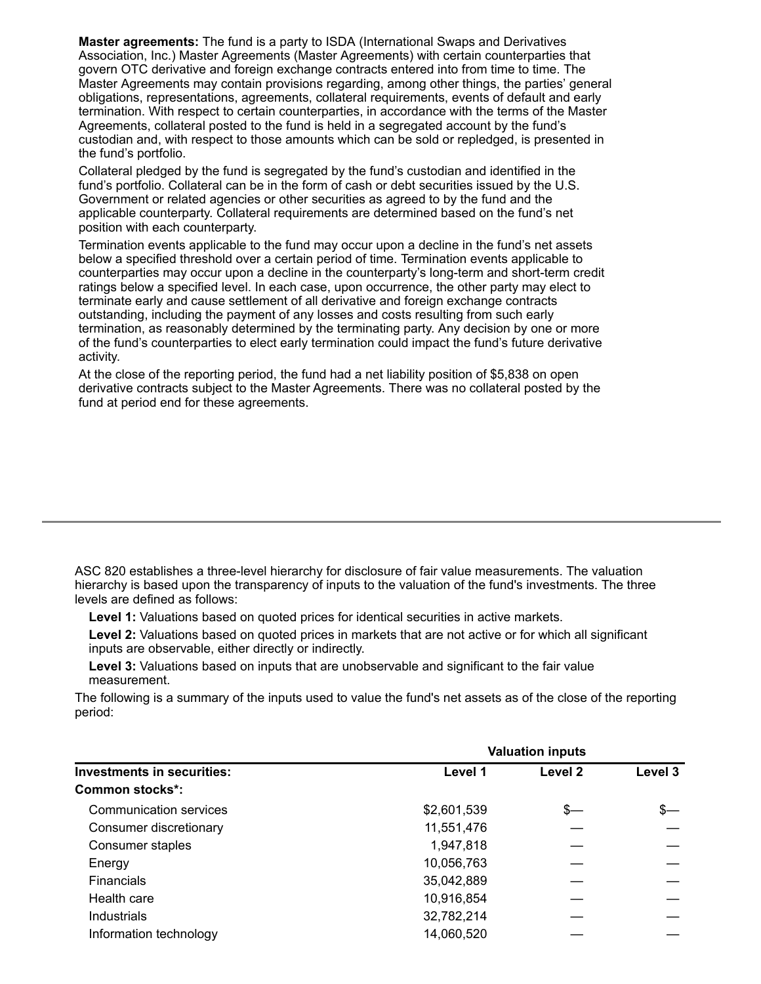**Master agreements:** The fund is a party to ISDA (International Swaps and Derivatives Association, Inc.) Master Agreements (Master Agreements) with certain counterparties that govern OTC derivative and foreign exchange contracts entered into from time to time. The Master Agreements may contain provisions regarding, among other things, the parties' general obligations, representations, agreements, collateral requirements, events of default and early termination. With respect to certain counterparties, in accordance with the terms of the Master Agreements, collateral posted to the fund is held in a segregated account by the fund's custodian and, with respect to those amounts which can be sold or repledged, is presented in the fund's portfolio.

Collateral pledged by the fund is segregated by the fund's custodian and identified in the fund's portfolio. Collateral can be in the form of cash or debt securities issued by the U.S. Government or related agencies or other securities as agreed to by the fund and the applicable counterparty. Collateral requirements are determined based on the fund's net position with each counterparty.

Termination events applicable to the fund may occur upon a decline in the fund's net assets below a specified threshold over a certain period of time. Termination events applicable to counterparties may occur upon a decline in the counterparty's long-term and short-term credit ratings below a specified level. In each case, upon occurrence, the other party may elect to terminate early and cause settlement of all derivative and foreign exchange contracts outstanding, including the payment of any losses and costs resulting from such early termination, as reasonably determined by the terminating party. Any decision by one or more of the fund's counterparties to elect early termination could impact the fund's future derivative activity.

At the close of the reporting period, the fund had a net liability position of \$5,838 on open derivative contracts subject to the Master Agreements. There was no collateral posted by the fund at period end for these agreements.

ASC 820 establishes a three-level hierarchy for disclosure of fair value measurements. The valuation hierarchy is based upon the transparency of inputs to the valuation of the fund's investments. The three levels are defined as follows:

**Level 1:** Valuations based on quoted prices for identical securities in active markets.

**Level 2:** Valuations based on quoted prices in markets that are not active or for which all significant inputs are observable, either directly or indirectly.

**Level 3:** Valuations based on inputs that are unobservable and significant to the fair value measurement.

The following is a summary of the inputs used to value the fund's net assets as of the close of the reporting period:

|                                   | <b>Valuation inputs</b> |         |         |  |
|-----------------------------------|-------------------------|---------|---------|--|
| <b>Investments in securities:</b> | Level 1                 | Level 2 | Level 3 |  |
| <b>Common stocks*:</b>            |                         |         |         |  |
| Communication services            | \$2,601,539             | $s-$    | \$—     |  |
| Consumer discretionary            | 11,551,476              |         |         |  |
| Consumer staples                  | 1,947,818               |         |         |  |
| Energy                            | 10,056,763              |         |         |  |
| <b>Financials</b>                 | 35,042,889              |         |         |  |
| Health care                       | 10,916,854              |         |         |  |
| Industrials                       | 32,782,214              |         |         |  |
| Information technology            | 14,060,520              |         |         |  |